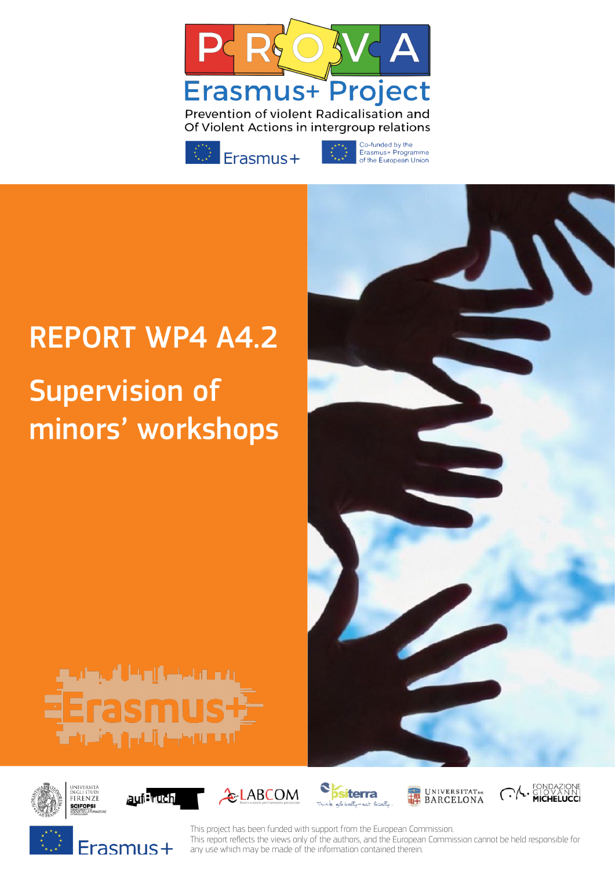



Co-funded by the<br>Erasmus+ Programme<br>of the European Union

# REPORT WP4 A4.2

# Supervision of minors' workshops

















This project has been funded with support from the European Commission. This report refects the views only of the authors, and the European Commission cannot be held responsible for any use which may be made of the information contained therein.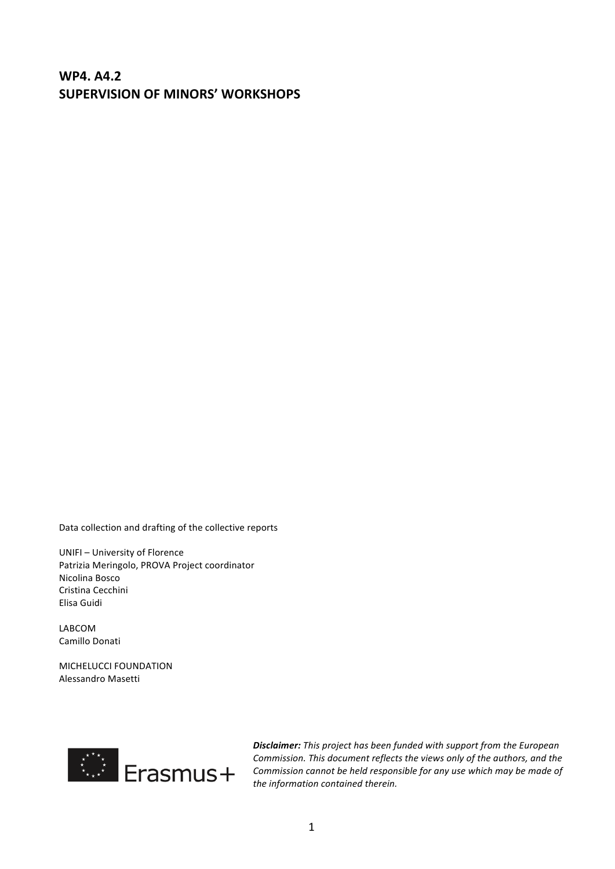### **WP4. A4.2 SUPERVISION OF MINORS' WORKSHOPS**

Data collection and drafting of the collective reports

UNIFI - University of Florence Patrizia Meringolo, PROVA Project coordinator Nicolina Bosco Cristina Cecchini Elisa Guidi

LABCOM Camillo Donati

MICHELUCCI FOUNDATION Alessandro Masetti



**Disclaimer:** This project has been funded with support from the European *Commission. This document reflects the views only of the authors, and the* Commission cannot be held responsible for any use which may be made of the information contained therein.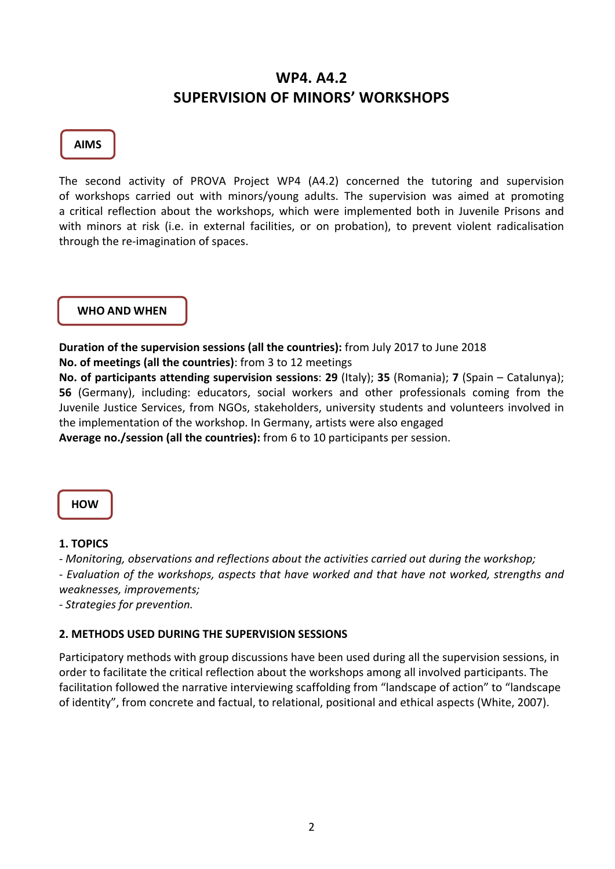## **WP4. A4.2 SUPERVISION OF MINORS' WORKSHOPS**

#### **AIMS**

The second activity of PROVA Project WP4 (A4.2) concerned the tutoring and supervision of workshops carried out with minors/young adults. The supervision was aimed at promoting a critical reflection about the workshops, which were implemented both in Juvenile Prisons and with minors at risk (i.e. in external facilities, or on probation), to prevent violent radicalisation through the re-imagination of spaces.

#### **WHO AND WHEN**

**Duration of the supervision sessions (all the countries):** from July 2017 to June 2018 **No. of meetings (all the countries)**: from 3 to 12 meetings

**No.** of participants attending supervision sessions: 29 (Italy); 35 (Romania); 7 (Spain – Catalunya); **56** (Germany), including: educators, social workers and other professionals coming from the Juvenile Justice Services, from NGOs, stakeholders, university students and volunteers involved in the implementation of the workshop. In Germany, artists were also engaged **Average no./session (all the countries):** from 6 to 10 participants per session.

**HOW**

#### **1. TOPICS**

*- Monitoring, observations and reflections about the activities carried out during the workshop;*

*- Evaluation of the workshops, aspects that have worked and that have not worked, strengths and weaknesses, improvements;*

*- Strategies for prevention.*

#### **2. METHODS USED DURING THE SUPERVISION SESSIONS**

Participatory methods with group discussions have been used during all the supervision sessions, in order to facilitate the critical reflection about the workshops among all involved participants. The facilitation followed the narrative interviewing scaffolding from "landscape of action" to "landscape of identity", from concrete and factual, to relational, positional and ethical aspects (White, 2007).